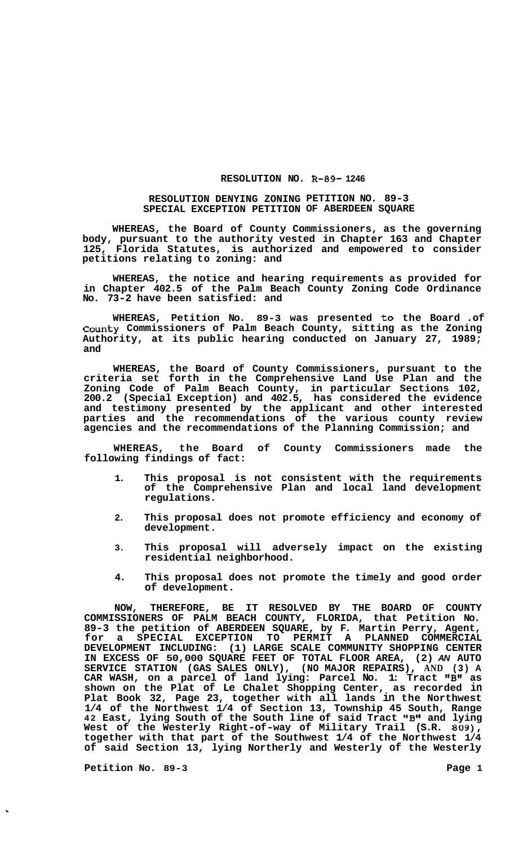## **RESOLUTION NO. R-89- 1246**

## **RESOLUTION DENYING ZONING PETITION NO. 89-3 SPECIAL EXCEPTION PETITION OF ABERDEEN SQUARE**

**WHEREAS, the Board of County Commissioners, as the governing body, pursuant to the authority vested in Chapter 163 and Chapter 125, Florida Statutes, is authorized and empowered to consider petitions relating to zoning: and** 

**WHEREAS, the notice and hearing requirements as provided for in Chapter 402.5 of the Palm Beach County Zoning Code Ordinance No. 73-2 have been satisfied: and** 

**WHEREAS, Petition No. 89-3 was presented to the Board .of County Commissioners of Palm Beach County, sitting as the Zoning Authority, at its public hearing conducted on January 27, 1989; and** 

**WHEREAS, the Board of County Commissioners, pursuant to the criteria set forth in the Comprehensive Land Use Plan and the Zoning Code of Palm Beach County, in particular Sections 102, 200.2 (Special Exception) and 402.5, has considered the evidence and testimony presented by the applicant and other interested parties and the recommendations of the various county review agencies and the recommendations of the Planning Commission; and** 

**WHEREAS, the Board of County Commissioners made the following findings of fact:** 

- **1. This proposal is not consistent with the requirements of the Comprehensive Plan and local land development regulations.**
- **2. This proposal does not promote efficiency and economy of development.**
- **3. This proposal will adversely impact on the existing residential neighborhood.**
- **4. This proposal does not promote the timely and good order of development.**

**NOW, THEREFORE, BE IT RESOLVED BY THE BOARD OF COUNTY COMMISSIONERS OF PALM BEACH COUNTY, FLORIDA, that Petition No. 89-3 the petition of ABERDEEN SQUARE, by F. Martin Perry, Agent, for a SPECIAL EXCEPTION TO PERMIT A PLANNED COMMERCIAL DEVELOPMENT INCLUDING: (1) LARGE SCALE COMMUNITY SHOPPING CENTER IN EXCESS OF 50,000 SQUARE FEET OF TOTAL FLOOR AREA, (2)** *AN* **AUTO SERVICE STATION (GAS SALES ONLY), (NO MAJOR REPAIRS), AND (3) A CAR WASH, on a parcel of land lying: Parcel No. 1: Tract I1BI1 as shown on the Plat of Le Chalet Shopping Center, as recorded in Plat Book 32, Page 23, together with all lands in the Northwest 1/4 of the Northwest 1/4 of Section 13, Township 45 South, Range**  42 East, lying South of the South line of said Tract "B" and lying **West of the Westerly Right-of-way of Military Trail (S.R. 809), together with that part of the Southwest 1/4 of the Northwest 1/4 of said Section 13, lying Northerly and Westerly of the Westerly** 

Petition No. 89-3 **Page 1**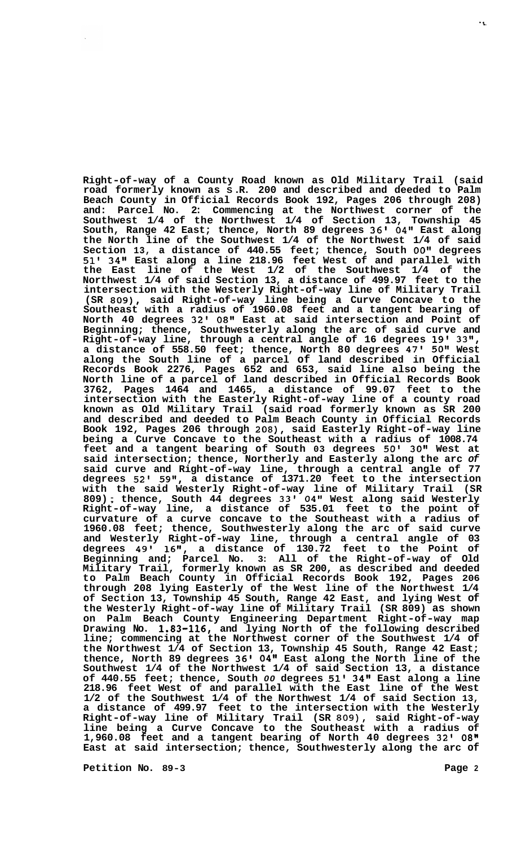**Right-of-way of a County Road known as Old Military Trail (said road formerly known as S .R. 200 and described and deeded to Palm Beach County in Official Records Book 192, Pages 206 through 208) and: Parcel No. 2: Commencing at the Northwest corner of the Southwest 1/4 of the Northwest 1/4 of Section 13, Township 45 South, Range 42 East; thence, North 89 degrees 36' 04" East along the North line of the Southwest 1/4 of the Northwest 1/4 of said Section 13, a distance of 440.55 feet; thence, South OO'I degrees 51' 34" East along a line 218.96 feet West of and parallel with the East line of the West 1/2 of the Southwest 1/4 of the Northwest 1/4 of said Section 13, a distance of 499.97 feet to the intersection with the Westerly Right-of-way line of Military Trail (SR 809), said Right-of-way line being a Curve Concave to the Southeast with a radius of 1960.08 feet and a tangent bearing of North 40 degrees 32' 08" East at said intersection and Point of Beginning; thence, Southwesterly along the arc of said curve and Right-of-way line, through a central angle of 16 degrees 19' 33", a distance of 558.50 feet; thence, North 80 degrees 47' 50" West along the South line of a parcel of land described in Official Records Book 2276, Pages 652 and 653, said line also being the North line of a parcel of land described in Official Records Book 3762, Pages 1464 and 1465, a distance of 99.07 feet to the intersection with the Easterly Right-of-way line of a county road known as Old Military Trail (said road formerly known as SR 200 and described and deeded to Palm Beach County in Official Records Book 192, Pages 206 through 208), said Easterly Right-of-way line being a Curve Concave to the Southeast with a radius of 1008.74 feet and a tangent bearing of South 03 degrees 50' 30'' West at said intersection; thence, Northerly and Easterly along the arc** *of*  **said curve and Right-of-way line, through a central angle of 77 degrees 52' 59", a distance of 1371.20 feet to the intersection with the said Westerly Right-of-way line of Military Trail (SR 809)** ; **thence, South 44 degrees 33' 04" West along said Westerly Right-of-way line, a distance of 535.01 feet to the point of curvature of a curve concave to the Southeast with a radius of 1960.08 feet; thence, Southwesterly along the arc of said curve and Westerly Right-of-way line, through a central angle of 03 degrees 49' 16", a distance of 130.72 feet to the Point of Beginning and; Parcel No. 3: All of the Right-of-way of Old Military Trail, formerly known as SR 200, as described and deeded to Palm Beach County in Official Records Book 192, Pages 206 through 208 lying Easterly of the West line of the Northwest 1/4 of Section 13, Township 45 South, Range 42 East, and lying West of the Westerly Right-of-way line of Military Trail (SR 809) as shown on Palm Beach County Engineering Department Right-of-way map Drawing No. 1.83-116, and lying North of the following described line; commencing at the Northwest corner of the Southwest 1/4 of the Northwest 1/4 of Section 13, Township 45 South, Range 42 East; thence, North 89 degrees 36' 04" East along the North line of the Southwest 1/4 of the Northwest 1/4 of said Section 13, a distance of 440.55 feet; thence, South** *00* **degrees 51' 34" East along a line 218.96 feet West of and parallel with the East line of the West 1/2 of the Southwest 1/4 of the Northwest 1/4 of said Section 13, a distance of 499.97 feet to the intersection with the Westerly Right-of-way line of Military Trail (SR 809), said Right-of-way line being a Curve Concave to the Southeast with a radius of 1,960.08 feet and a tangent bearing of North 40 degrees 32' 08" East at said intersection; thence, Southwesterly along the arc of** 

**Petition No. 89-3 Page 2**